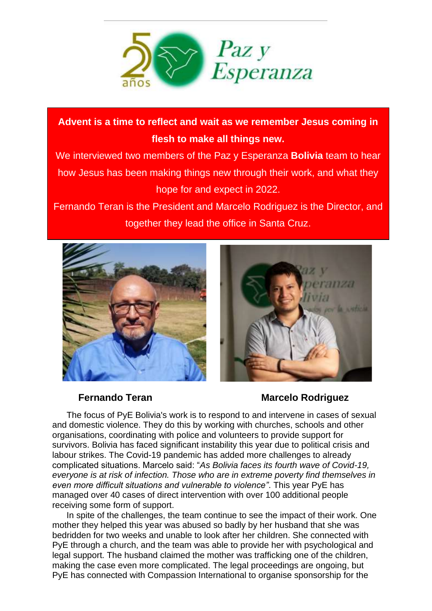

**Advent is a time to reflect and wait as we remember Jesus coming in flesh to make all things new.** 

We interviewed two members of the Paz y Esperanza **Bolivia** team to hear how Jesus has been making things new through their work, and what they hope for and expect in 2022.

Fernando Teran is the President and Marcelo Rodriguez is the Director, and together they lead the office in Santa Cruz.





**Fernando Teran Marcelo Rodriguez**

The focus of PyE Bolivia's work is to respond to and intervene in cases of sexual and domestic violence. They do this by working with churches, schools and other organisations, coordinating with police and volunteers to provide support for survivors. Bolivia has faced significant instability this year due to political crisis and labour strikes. The Covid-19 pandemic has added more challenges to already complicated situations. Marcelo said: "*As Bolivia faces its fourth wave of Covid-19, everyone is at risk of infection. Those who are in extreme poverty find themselves in even more difficult situations and vulnerable to violence"*. This year PyE has managed over 40 cases of direct intervention with over 100 additional people receiving some form of support.

In spite of the challenges, the team continue to see the impact of their work. One mother they helped this year was abused so badly by her husband that she was bedridden for two weeks and unable to look after her children. She connected with PyE through a church, and the team was able to provide her with psychological and legal support. The husband claimed the mother was trafficking one of the children, making the case even more complicated. The legal proceedings are ongoing, but PyE has connected with Compassion International to organise sponsorship for the